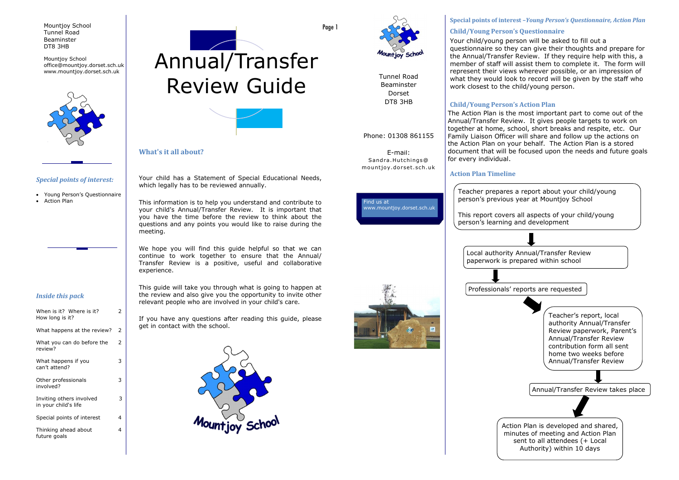#### **Special points of interest –***Young Person's Questionnaire, Action Plan*

E-mail: Sandra.Hutchings@ mountjoy.dorset.sch.uk





Tunnel Road Beaminster Dorset DT8 3HB

#### Phone: 01308 861155

#### **Action Plan Timeline**



#### **Child/Young Person's Questionnaire**



Your child/young person will be asked to fill out a questionnaire so they can give their thoughts and prepare for the Annual/Transfer Review. If they require help with this, a member of staff will assist them to complete it. The form will represent their views wherever possible, or an impression of what they would look to record will be given by the staff who work closest to the child/young person.

## **Child/Young Person's Action Plan**

| When is it? Where is it?<br>How long is it?      | 2 |
|--------------------------------------------------|---|
| What happens at the review?                      | 2 |
| What you can do before the<br>review?            | 2 |
| What happens if you<br>can't attend?             | 3 |
| Other professionals<br>involved?                 | 3 |
| Inviting others involved<br>in your child's life | 3 |
| Special points of interest                       | 4 |
| Thinking ahead about<br>future goals             | 4 |

# $\text{Mountijoy School} \scriptscriptstyle \text{ofifice@mountijoy.dorset.sch.uk} \scriptsize \left[ \text{Ammual/Transferr} \right]$ Review Guide



The Action Plan is the most important part to come out of the Annual/Transfer Review. It gives people targets to work on together at home, school, short breaks and respite, etc. Our Family Liaison Officer will share and follow up the actions on the Action Plan on your behalf. The Action Plan is a stored document that will be focused upon the needs and future goals for every individual.

Page 1



Your child has a Statement of Special Educational Needs, which legally has to be reviewed annually.

This information is to help you understand and contribute to your child's Annual/Transfer Review. It is important that you have the time before the review to think about the questions and any points you would like to raise during the meeting.

We hope you will find this guide helpful so that we can continue to work together to ensure that the Annual/ Transfer Review is a positive, useful and collaborative experience.

This guide will take you through what is going to happen at the review and also give you the opportunity to invite other relevant people who are involved in your child's care.

If you have any questions after reading this guide, please get in contact with the school.



#### **What's it all about?**

#### *Inside this pack*

#### *Special points of interest:*

- Young Person's Questionnaire
- Action Plan

Mountjoy School Tunnel Road Beaminster DT8 3HB

Mountjoy School office@mountjoy.dorset.sch.uk